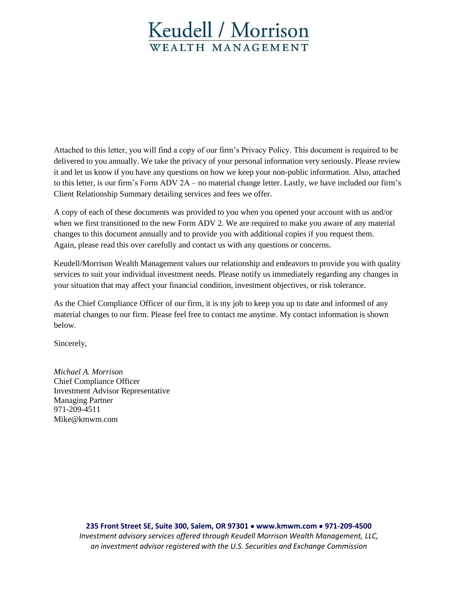# Keudell / Morrison WEALTH MANAGEMENT

Attached to this letter, you will find a copy of our firm's Privacy Policy. This document is required to be delivered to you annually. We take the privacy of your personal information very seriously. Please review it and let us know if you have any questions on how we keep your non-public information. Also, attached to this letter, is our firm's Form ADV 2A – no material change letter. Lastly, we have included our firm's Client Relationship Summary detailing services and fees we offer.

A copy of each of these documents was provided to you when you opened your account with us and/or when we first transitioned to the new Form ADV 2. We are required to make you aware of any material changes to this document annually and to provide you with additional copies if you request them. Again, please read this over carefully and contact us with any questions or concerns.

Keudell/Morrison Wealth Management values our relationship and endeavors to provide you with quality services to suit your individual investment needs. Please notify us immediately regarding any changes in your situation that may affect your financial condition, investment objectives, or risk tolerance.

As the Chief Compliance Officer of our firm, it is my job to keep you up to date and informed of any material changes to our firm. Please feel free to contact me anytime. My contact information is shown below.

Sincerely,

*Michael A. Morrison* Chief Compliance Officer Investment Advisor Representative Managing Partner 971-209-4511 [Mike@kmwm.com](mailto:Mike@kmwm.com)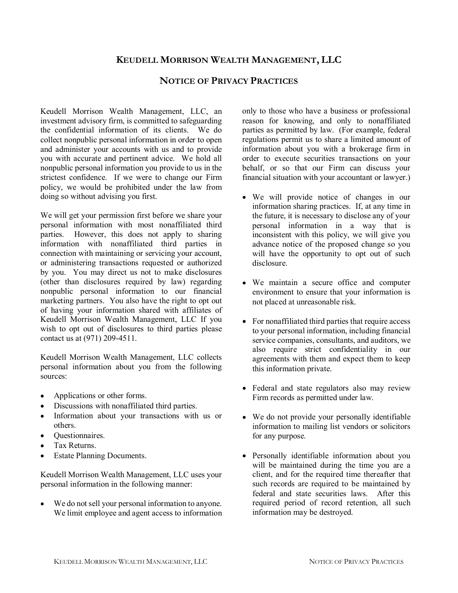## KEUDELL MORRISON WEALTH MANAGEMENT, LLC

#### NOTICE OF PRIVACY PRACTICES

Keudell Morrison Wealth Management, LLC, an investment advisory firm, is committed to safeguarding the confidential information of its clients. We do collect nonpublic personal information in order to open and administer your accounts with us and to provide you with accurate and pertinent advice. We hold all nonpublic personal information you provide to us in the strictest confidence. If we were to change our Firm policy, we would be prohibited under the law from doing so without advising you first.

We will get your permission first before we share your personal information with most nonaffiliated third parties. However, this does not apply to sharing information with nonaffiliated third parties in connection with maintaining or servicing your account, or administering transactions requested or authorized by you. You may direct us not to make disclosures (other than disclosures required by law) regarding nonpublic personal information to our financial marketing partners. You also have the right to opt out of having your information shared with affiliates of Keudell Morrison Wealth Management, LLC If you wish to opt out of disclosures to third parties please contact us at (971) 209-4511.

Keudell Morrison Wealth Management, LLC collects personal information about you from the following sources:

- Applications or other forms.
- Discussions with nonaffiliated third parties.
- Information about your transactions with us or others.
- Questionnaires.
- Tax Returns.
- Estate Planning Documents.

Keudell Morrison Wealth Management, LLC uses your personal information in the following manner:

We do not sell your personal information to anyone. We limit employee and agent access to information only to those who have a business or professional reason for knowing, and only to nonaffiliated parties as permitted by law. (For example, federal regulations permit us to share a limited amount of information about you with a brokerage firm in order to execute securities transactions on your behalf, or so that our Firm can discuss your financial situation with your accountant or lawyer.)

- We will provide notice of changes in our information sharing practices. If, at any time in the future, it is necessary to disclose any of your personal information in a way that is inconsistent with this policy, we will give you advance notice of the proposed change so you will have the opportunity to opt out of such disclosure.
- We maintain a secure office and computer environment to ensure that your information is not placed at unreasonable risk.
- For nonaffiliated third parties that require access to your personal information, including financial service companies, consultants, and auditors, we also require strict confidentiality in our agreements with them and expect them to keep this information private.
- Federal and state regulators also may review Firm records as permitted under law.
- We do not provide your personally identifiable information to mailing list vendors or solicitors for any purpose.
- Personally identifiable information about you will be maintained during the time you are a client, and for the required time thereafter that such records are required to be maintained by federal and state securities laws. After this required period of record retention, all such information may be destroyed.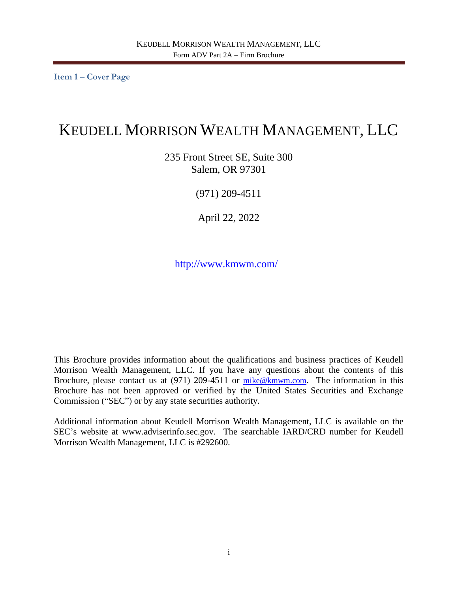<span id="page-2-0"></span>**Item 1 – Cover Page**

# KEUDELL MORRISON WEALTH MANAGEMENT, LLC

235 Front Street SE, Suite 300 Salem, OR 97301

(971) 209-4511

April 22, 2022

<http://www.kmwm.com/>

This Brochure provides information about the qualifications and business practices of Keudell Morrison Wealth Management, LLC. If you have any questions about the contents of this Brochure, please contact us at (971) 209-4511 or [mike@kmwm.com](mailto:mike@kmwm.com). The information in this Brochure has not been approved or verified by the United States Securities and Exchange Commission ("SEC") or by any state securities authority.

Additional information about Keudell Morrison Wealth Management, LLC is available on the SEC's website at www.adviserinfo.sec.gov. The searchable IARD/CRD number for Keudell Morrison Wealth Management, LLC is #292600.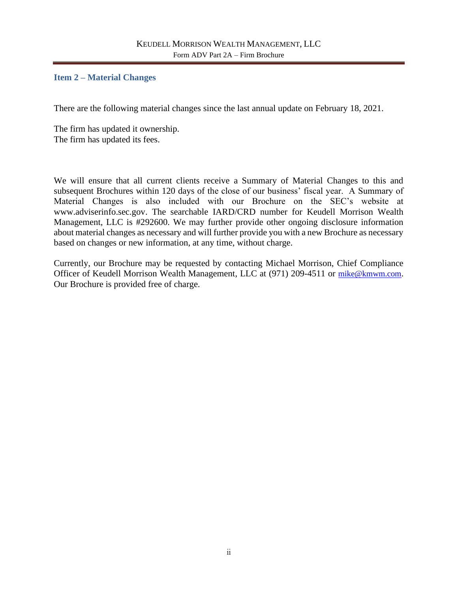### <span id="page-3-0"></span>**Item 2 – Material Changes**

There are the following material changes since the last annual update on February 18, 2021.

The firm has updated it ownership. The firm has updated its fees.

We will ensure that all current clients receive a Summary of Material Changes to this and subsequent Brochures within 120 days of the close of our business' fiscal year. A Summary of Material Changes is also included with our Brochure on the SEC's website at www.adviserinfo.sec.gov. The searchable IARD/CRD number for Keudell Morrison Wealth Management, LLC is #292600. We may further provide other ongoing disclosure information about material changes as necessary and will further provide you with a new Brochure as necessary based on changes or new information, at any time, without charge.

Currently, our Brochure may be requested by contacting Michael Morrison, Chief Compliance Officer of Keudell Morrison Wealth Management, LLC at (971) 209-4511 or [mike@kmwm.com](mailto:mike@kmwm.com). Our Brochure is provided free of charge.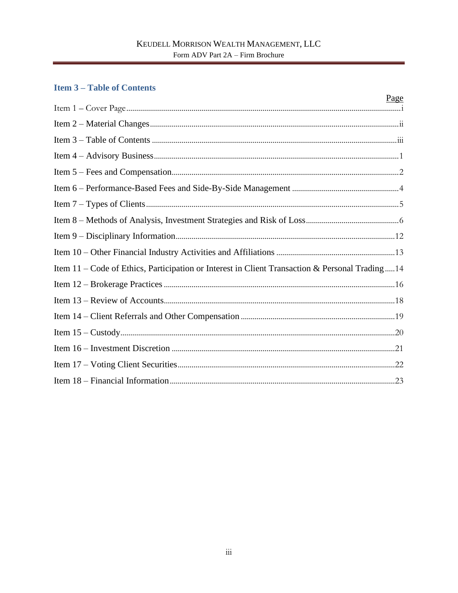# <span id="page-4-0"></span>**Item 3-Table of Contents**

|                                                                                                | <u>Page</u> |
|------------------------------------------------------------------------------------------------|-------------|
|                                                                                                |             |
|                                                                                                |             |
|                                                                                                |             |
|                                                                                                |             |
|                                                                                                |             |
|                                                                                                |             |
|                                                                                                |             |
|                                                                                                |             |
|                                                                                                |             |
|                                                                                                |             |
| Item 11 – Code of Ethics, Participation or Interest in Client Transaction & Personal Trading14 |             |
|                                                                                                |             |
|                                                                                                |             |
|                                                                                                |             |
|                                                                                                |             |
|                                                                                                |             |
|                                                                                                |             |
|                                                                                                |             |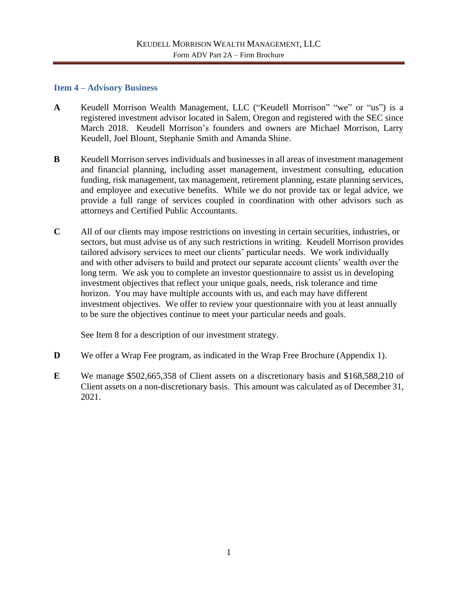#### <span id="page-5-0"></span>**Item 4 – Advisory Business**

- **A** Keudell Morrison Wealth Management, LLC ("Keudell Morrison" "we" or "us") is a registered investment advisor located in Salem, Oregon and registered with the SEC since March 2018. Keudell Morrison's founders and owners are Michael Morrison, Larry Keudell, Joel Blount, Stephanie Smith and Amanda Shine.
- **B** Keudell Morrison serves individuals and businesses in all areas of investment management and financial planning, including asset management, investment consulting, education funding, risk management, tax management, retirement planning, estate planning services, and employee and executive benefits. While we do not provide tax or legal advice, we provide a full range of services coupled in coordination with other advisors such as attorneys and Certified Public Accountants.
- **C** All of our clients may impose restrictions on investing in certain securities, industries, or sectors, but must advise us of any such restrictions in writing. Keudell Morrison provides tailored advisory services to meet our clients' particular needs. We work individually and with other advisers to build and protect our separate account clients' wealth over the long term. We ask you to complete an investor questionnaire to assist us in developing investment objectives that reflect your unique goals, needs, risk tolerance and time horizon. You may have multiple accounts with us, and each may have different investment objectives. We offer to review your questionnaire with you at least annually to be sure the objectives continue to meet your particular needs and goals.

See Item 8 for a description of our investment strategy.

- **D** We offer a Wrap Fee program, as indicated in the Wrap Free Brochure (Appendix 1).
- **E** We manage \$502,665,358 of Client assets on a discretionary basis and \$168,588,210 of Client assets on a non-discretionary basis. This amount was calculated as of December 31, 2021.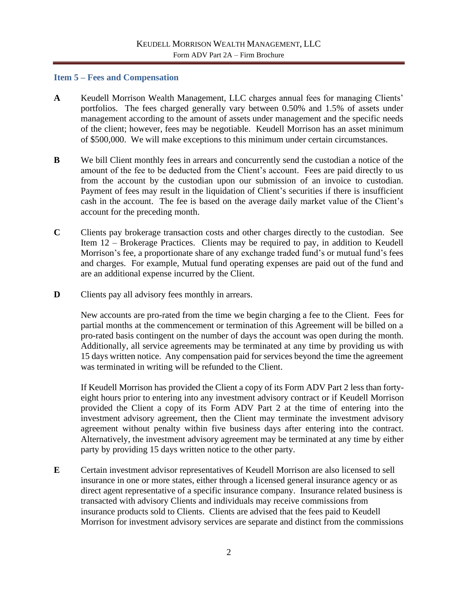#### <span id="page-6-0"></span>**Item 5 – Fees and Compensation**

- **A** Keudell Morrison Wealth Management, LLC charges annual fees for managing Clients' portfolios. The fees charged generally vary between 0.50% and 1.5% of assets under management according to the amount of assets under management and the specific needs of the client; however, fees may be negotiable. Keudell Morrison has an asset minimum of \$500,000. We will make exceptions to this minimum under certain circumstances.
- **B** We bill Client monthly fees in arrears and concurrently send the custodian a notice of the amount of the fee to be deducted from the Client's account. Fees are paid directly to us from the account by the custodian upon our submission of an invoice to custodian. Payment of fees may result in the liquidation of Client's securities if there is insufficient cash in the account. The fee is based on the average daily market value of the Client's account for the preceding month.
- **C** Clients pay brokerage transaction costs and other charges directly to the custodian. See Item 12 – Brokerage Practices. Clients may be required to pay, in addition to Keudell Morrison's fee, a proportionate share of any exchange traded fund's or mutual fund's fees and charges. For example, Mutual fund operating expenses are paid out of the fund and are an additional expense incurred by the Client.
- **D** Clients pay all advisory fees monthly in arrears.

New accounts are pro-rated from the time we begin charging a fee to the Client. Fees for partial months at the commencement or termination of this Agreement will be billed on a pro-rated basis contingent on the number of days the account was open during the month. Additionally, all service agreements may be terminated at any time by providing us with 15 days written notice. Any compensation paid for services beyond the time the agreement was terminated in writing will be refunded to the Client.

If Keudell Morrison has provided the Client a copy of its Form ADV Part 2 less than fortyeight hours prior to entering into any investment advisory contract or if Keudell Morrison provided the Client a copy of its Form ADV Part 2 at the time of entering into the investment advisory agreement, then the Client may terminate the investment advisory agreement without penalty within five business days after entering into the contract. Alternatively, the investment advisory agreement may be terminated at any time by either party by providing 15 days written notice to the other party.

**E** Certain investment advisor representatives of Keudell Morrison are also licensed to sell insurance in one or more states, either through a licensed general insurance agency or as direct agent representative of a specific insurance company. Insurance related business is transacted with advisory Clients and individuals may receive commissions from insurance products sold to Clients. Clients are advised that the fees paid to Keudell Morrison for investment advisory services are separate and distinct from the commissions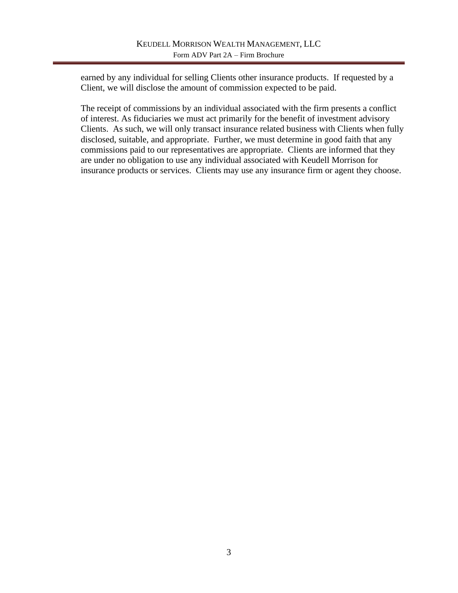earned by any individual for selling Clients other insurance products. If requested by a Client, we will disclose the amount of commission expected to be paid.

The receipt of commissions by an individual associated with the firm presents a conflict of interest. As fiduciaries we must act primarily for the benefit of investment advisory Clients. As such, we will only transact insurance related business with Clients when fully disclosed, suitable, and appropriate. Further, we must determine in good faith that any commissions paid to our representatives are appropriate. Clients are informed that they are under no obligation to use any individual associated with Keudell Morrison for insurance products or services. Clients may use any insurance firm or agent they choose.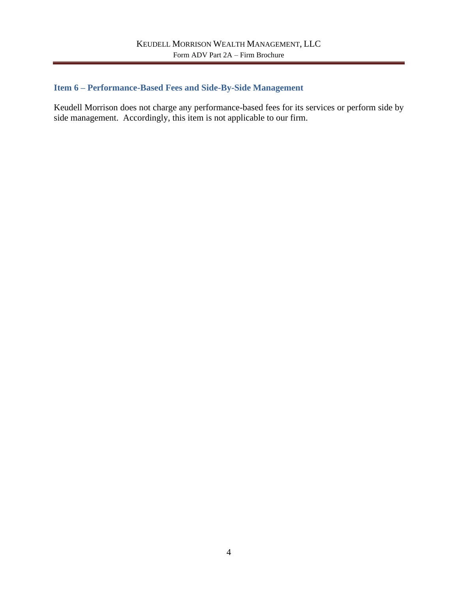# <span id="page-8-0"></span>**Item 6 – Performance-Based Fees and Side-By-Side Management**

Keudell Morrison does not charge any performance-based fees for its services or perform side by side management. Accordingly, this item is not applicable to our firm.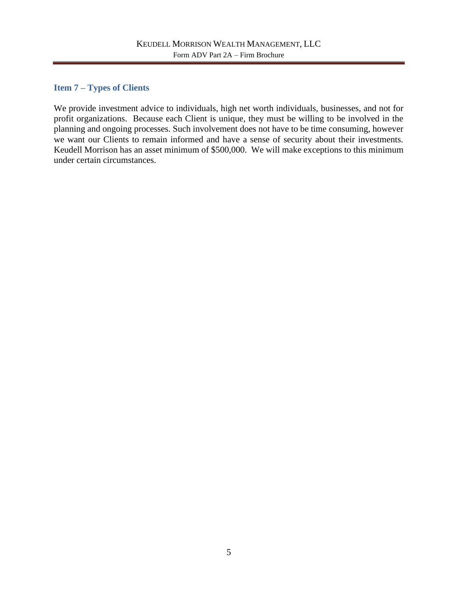## <span id="page-9-0"></span>**Item 7 – Types of Clients**

We provide investment advice to individuals, high net worth individuals, businesses, and not for profit organizations. Because each Client is unique, they must be willing to be involved in the planning and ongoing processes. Such involvement does not have to be time consuming, however we want our Clients to remain informed and have a sense of security about their investments. Keudell Morrison has an asset minimum of \$500,000. We will make exceptions to this minimum under certain circumstances.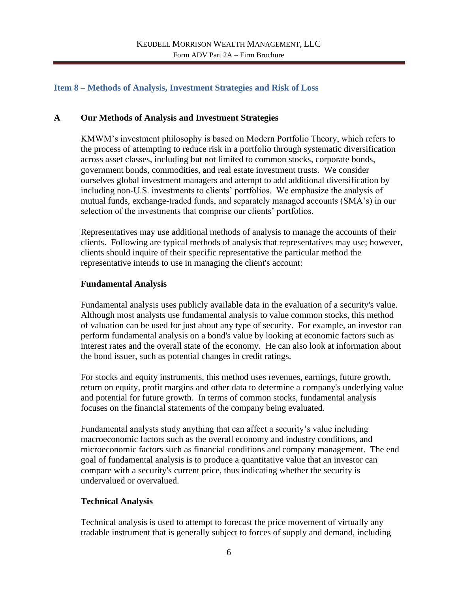## <span id="page-10-0"></span>**Item 8 – Methods of Analysis, Investment Strategies and Risk of Loss**

### **A Our Methods of Analysis and Investment Strategies**

KMWM's investment philosophy is based on Modern Portfolio Theory, which refers to the process of attempting to reduce risk in a portfolio through systematic diversification across asset classes, including but not limited to common stocks, corporate bonds, government bonds, commodities, and real estate investment trusts. We consider ourselves global investment managers and attempt to add additional diversification by including non-U.S. investments to clients' portfolios. We emphasize the analysis of mutual funds, exchange-traded funds, and separately managed accounts (SMA's) in our selection of the investments that comprise our clients' portfolios.

Representatives may use additional methods of analysis to manage the accounts of their clients. Following are typical methods of analysis that representatives may use; however, clients should inquire of their specific representative the particular method the representative intends to use in managing the client's account:

#### **Fundamental Analysis**

Fundamental analysis uses publicly available data in the evaluation of a security's value. Although most analysts use fundamental analysis to value common stocks, this method of valuation can be used for just about any type of security. For example, an investor can perform fundamental analysis on a bond's value by looking at economic factors such as interest rates and the overall state of the economy. He can also look at information about the bond issuer, such as potential changes in credit ratings.

For stocks and equity instruments, this method uses revenues, earnings, future growth, return on equity, profit margins and other data to determine a company's underlying value and potential for future growth. In terms of common stocks, fundamental analysis focuses on the financial statements of the company being evaluated.

Fundamental analysts study anything that can affect a security's value including macroeconomic factors such as the overall economy and industry conditions, and microeconomic factors such as financial conditions and company management. The end goal of fundamental analysis is to produce a quantitative value that an investor can compare with a security's current price, thus indicating whether the security is undervalued or overvalued.

## **Technical Analysis**

Technical analysis is used to attempt to forecast the price movement of virtually any tradable instrument that is generally subject to forces of supply and demand, including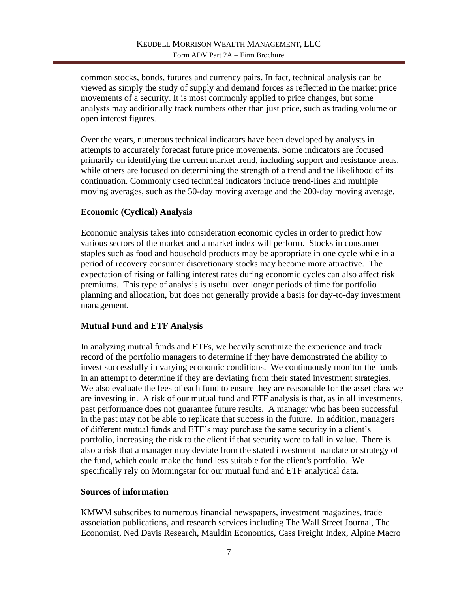common stocks, bonds, futures and currency pairs. In fact, technical analysis can be viewed as simply the study of supply and demand forces as reflected in the market price movements of a security. It is most commonly applied to price changes, but some analysts may additionally track numbers other than just price, such as trading volume or open interest figures.

Over the years, numerous technical indicators have been developed by analysts in attempts to accurately forecast future price movements. Some indicators are focused primarily on identifying the current market trend, including support and resistance areas, while others are focused on determining the strength of a trend and the likelihood of its continuation. Commonly used technical indicators include trend-lines and multiple moving averages, such as the 50-day moving average and the 200-day moving average.

# **Economic (Cyclical) Analysis**

Economic analysis takes into consideration economic cycles in order to predict how various sectors of the market and a market index will perform. Stocks in consumer staples such as food and household products may be appropriate in one cycle while in a period of recovery consumer discretionary stocks may become more attractive. The expectation of rising or falling interest rates during economic cycles can also affect risk premiums. This type of analysis is useful over longer periods of time for portfolio planning and allocation, but does not generally provide a basis for day-to-day investment management.

## **Mutual Fund and ETF Analysis**

In analyzing mutual funds and ETFs, we heavily scrutinize the experience and track record of the portfolio managers to determine if they have demonstrated the ability to invest successfully in varying economic conditions. We continuously monitor the funds in an attempt to determine if they are deviating from their stated investment strategies. We also evaluate the fees of each fund to ensure they are reasonable for the asset class we are investing in. A risk of our mutual fund and ETF analysis is that, as in all investments, past performance does not guarantee future results. A manager who has been successful in the past may not be able to replicate that success in the future. In addition, managers of different mutual funds and ETF's may purchase the same security in a client's portfolio, increasing the risk to the client if that security were to fall in value. There is also a risk that a manager may deviate from the stated investment mandate or strategy of the fund, which could make the fund less suitable for the client's portfolio. We specifically rely on Morningstar for our mutual fund and ETF analytical data.

## **Sources of information**

KMWM subscribes to numerous financial newspapers, investment magazines, trade association publications, and research services including The Wall Street Journal, The Economist, Ned Davis Research, Mauldin Economics, Cass Freight Index, Alpine Macro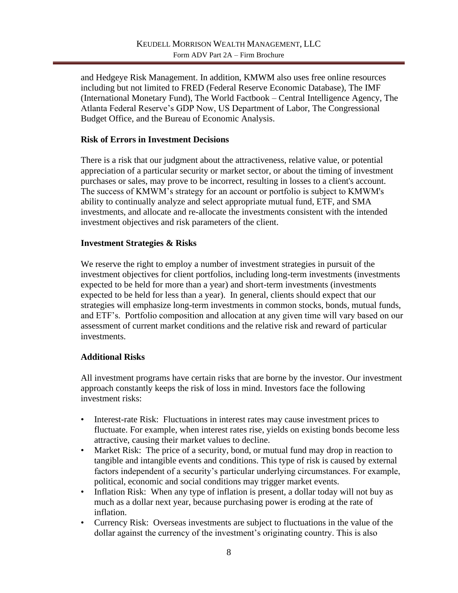and Hedgeye Risk Management. In addition, KMWM also uses free online resources including but not limited to FRED (Federal Reserve Economic Database), The IMF (International Monetary Fund), The World Factbook – Central Intelligence Agency, The Atlanta Federal Reserve's GDP Now, US Department of Labor, The Congressional Budget Office, and the Bureau of Economic Analysis.

## **Risk of Errors in Investment Decisions**

There is a risk that our judgment about the attractiveness, relative value, or potential appreciation of a particular security or market sector, or about the timing of investment purchases or sales, may prove to be incorrect, resulting in losses to a client's account. The success of KMWM's strategy for an account or portfolio is subject to KMWM's ability to continually analyze and select appropriate mutual fund, ETF, and SMA investments, and allocate and re-allocate the investments consistent with the intended investment objectives and risk parameters of the client.

### **Investment Strategies & Risks**

We reserve the right to employ a number of investment strategies in pursuit of the investment objectives for client portfolios, including long-term investments (investments expected to be held for more than a year) and short-term investments (investments expected to be held for less than a year). In general, clients should expect that our strategies will emphasize long-term investments in common stocks, bonds, mutual funds, and ETF's. Portfolio composition and allocation at any given time will vary based on our assessment of current market conditions and the relative risk and reward of particular investments.

## **Additional Risks**

All investment programs have certain risks that are borne by the investor. Our investment approach constantly keeps the risk of loss in mind. Investors face the following investment risks:

- Interest-rate Risk: Fluctuations in interest rates may cause investment prices to fluctuate. For example, when interest rates rise, yields on existing bonds become less attractive, causing their market values to decline.
- Market Risk: The price of a security, bond, or mutual fund may drop in reaction to tangible and intangible events and conditions. This type of risk is caused by external factors independent of a security's particular underlying circumstances. For example, political, economic and social conditions may trigger market events.
- Inflation Risk: When any type of inflation is present, a dollar today will not buy as much as a dollar next year, because purchasing power is eroding at the rate of inflation.
- Currency Risk: Overseas investments are subject to fluctuations in the value of the dollar against the currency of the investment's originating country. This is also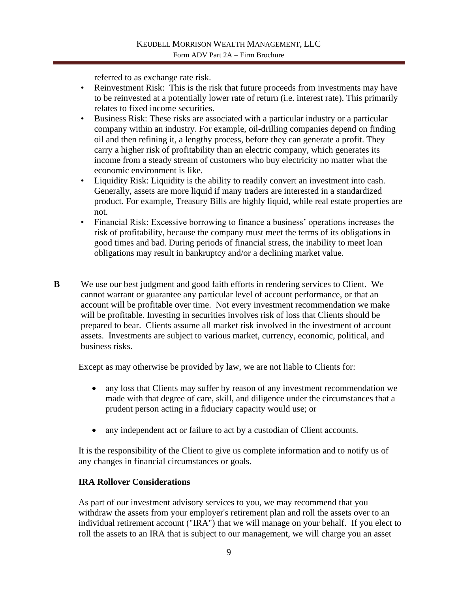referred to as exchange rate risk.

- Reinvestment Risk: This is the risk that future proceeds from investments may have to be reinvested at a potentially lower rate of return (i.e. interest rate). This primarily relates to fixed income securities.
- Business Risk: These risks are associated with a particular industry or a particular company within an industry. For example, oil-drilling companies depend on finding oil and then refining it, a lengthy process, before they can generate a profit. They carry a higher risk of profitability than an electric company, which generates its income from a steady stream of customers who buy electricity no matter what the economic environment is like.
- Liquidity Risk: Liquidity is the ability to readily convert an investment into cash. Generally, assets are more liquid if many traders are interested in a standardized product. For example, Treasury Bills are highly liquid, while real estate properties are not.
- Financial Risk: Excessive borrowing to finance a business' operations increases the risk of profitability, because the company must meet the terms of its obligations in good times and bad. During periods of financial stress, the inability to meet loan obligations may result in bankruptcy and/or a declining market value.
- **B** We use our best judgment and good faith efforts in rendering services to Client. We cannot warrant or guarantee any particular level of account performance, or that an account will be profitable over time. Not every investment recommendation we make will be profitable. Investing in securities involves risk of loss that Clients should be prepared to bear. Clients assume all market risk involved in the investment of account assets. Investments are subject to various market, currency, economic, political, and business risks.

Except as may otherwise be provided by law, we are not liable to Clients for:

- any loss that Clients may suffer by reason of any investment recommendation we made with that degree of care, skill, and diligence under the circumstances that a prudent person acting in a fiduciary capacity would use; or
- any independent act or failure to act by a custodian of Client accounts.

It is the responsibility of the Client to give us complete information and to notify us of any changes in financial circumstances or goals.

# **IRA Rollover Considerations**

As part of our investment advisory services to you, we may recommend that you withdraw the assets from your employer's retirement plan and roll the assets over to an individual retirement account ("IRA") that we will manage on your behalf. If you elect to roll the assets to an IRA that is subject to our management, we will charge you an asset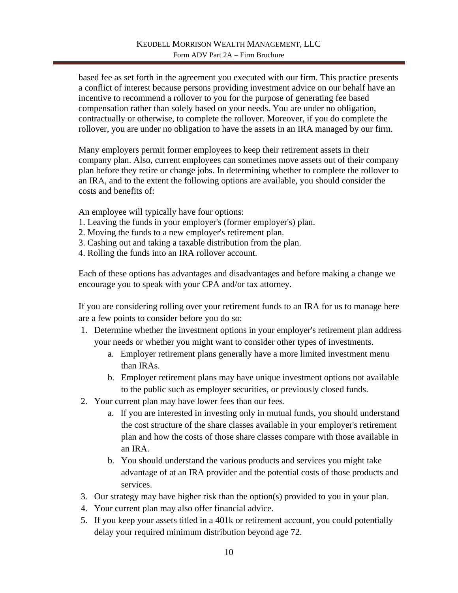based fee as set forth in the agreement you executed with our firm. This practice presents a conflict of interest because persons providing investment advice on our behalf have an incentive to recommend a rollover to you for the purpose of generating fee based compensation rather than solely based on your needs. You are under no obligation, contractually or otherwise, to complete the rollover. Moreover, if you do complete the rollover, you are under no obligation to have the assets in an IRA managed by our firm.

Many employers permit former employees to keep their retirement assets in their company plan. Also, current employees can sometimes move assets out of their company plan before they retire or change jobs. In determining whether to complete the rollover to an IRA, and to the extent the following options are available, you should consider the costs and benefits of:

An employee will typically have four options:

- 1. Leaving the funds in your employer's (former employer's) plan.
- 2. Moving the funds to a new employer's retirement plan.
- 3. Cashing out and taking a taxable distribution from the plan.
- 4. Rolling the funds into an IRA rollover account.

Each of these options has advantages and disadvantages and before making a change we encourage you to speak with your CPA and/or tax attorney.

If you are considering rolling over your retirement funds to an IRA for us to manage here are a few points to consider before you do so:

- 1. Determine whether the investment options in your employer's retirement plan address your needs or whether you might want to consider other types of investments.
	- a. Employer retirement plans generally have a more limited investment menu than IRAs.
	- b. Employer retirement plans may have unique investment options not available to the public such as employer securities, or previously closed funds.
- 2. Your current plan may have lower fees than our fees.
	- a. If you are interested in investing only in mutual funds, you should understand the cost structure of the share classes available in your employer's retirement plan and how the costs of those share classes compare with those available in an IRA.
	- b. You should understand the various products and services you might take advantage of at an IRA provider and the potential costs of those products and services.
- 3. Our strategy may have higher risk than the option(s) provided to you in your plan.
- 4. Your current plan may also offer financial advice.
- 5. If you keep your assets titled in a 401k or retirement account, you could potentially delay your required minimum distribution beyond age 72.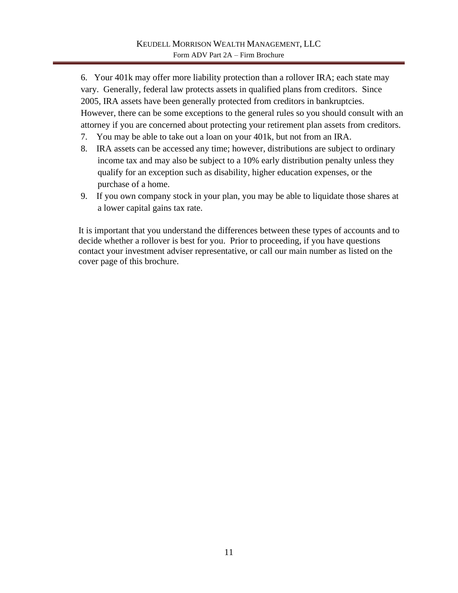6. Your 401k may offer more liability protection than a rollover IRA; each state may vary. Generally, federal law protects assets in qualified plans from creditors. Since 2005, IRA assets have been generally protected from creditors in bankruptcies. However, there can be some exceptions to the general rules so you should consult with an attorney if you are concerned about protecting your retirement plan assets from creditors.

- 7. You may be able to take out a loan on your 401k, but not from an IRA.
- 8. IRA assets can be accessed any time; however, distributions are subject to ordinary income tax and may also be subject to a 10% early distribution penalty unless they qualify for an exception such as disability, higher education expenses, or the purchase of a home.
- 9. If you own company stock in your plan, you may be able to liquidate those shares at a lower capital gains tax rate.

It is important that you understand the differences between these types of accounts and to decide whether a rollover is best for you. Prior to proceeding, if you have questions contact your investment adviser representative, or call our main number as listed on the cover page of this brochure.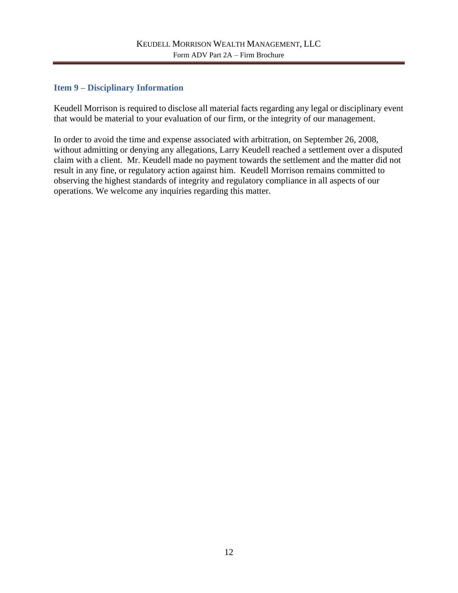## <span id="page-16-0"></span>**Item 9 – Disciplinary Information**

Keudell Morrison is required to disclose all material facts regarding any legal or disciplinary event that would be material to your evaluation of our firm, or the integrity of our management.

In order to avoid the time and expense associated with arbitration, on September 26, 2008, without admitting or denying any allegations, Larry Keudell reached a settlement over a disputed claim with a client. Mr. Keudell made no payment towards the settlement and the matter did not result in any fine, or regulatory action against him. Keudell Morrison remains committed to observing the highest standards of integrity and regulatory compliance in all aspects of our operations. We welcome any inquiries regarding this matter.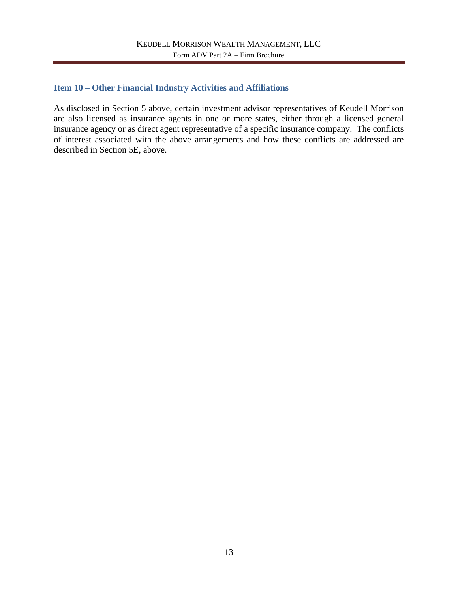### <span id="page-17-0"></span>**Item 10 – Other Financial Industry Activities and Affiliations**

As disclosed in Section 5 above, certain investment advisor representatives of Keudell Morrison are also licensed as insurance agents in one or more states, either through a licensed general insurance agency or as direct agent representative of a specific insurance company. The conflicts of interest associated with the above arrangements and how these conflicts are addressed are described in Section 5E, above.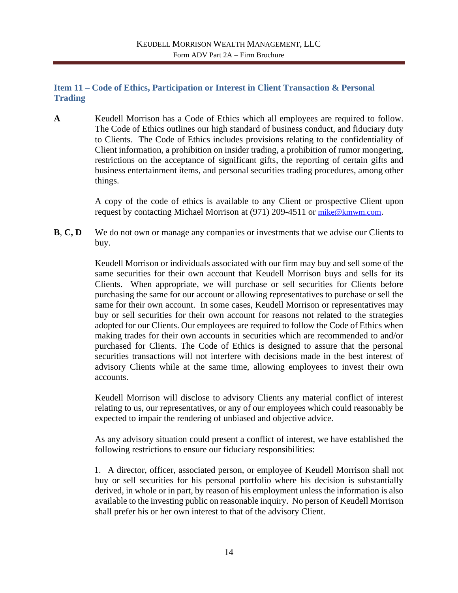# <span id="page-18-0"></span>**Item 11 – Code of Ethics, Participation or Interest in Client Transaction & Personal Trading**

**A** Keudell Morrison has a Code of Ethics which all employees are required to follow. The Code of Ethics outlines our high standard of business conduct, and fiduciary duty to Clients. The Code of Ethics includes provisions relating to the confidentiality of Client information, a prohibition on insider trading, a prohibition of rumor mongering, restrictions on the acceptance of significant gifts, the reporting of certain gifts and business entertainment items, and personal securities trading procedures, among other things.

> A copy of the code of ethics is available to any Client or prospective Client upon request by contacting Michael Morrison at (971) 209-4511 or [mike@kmwm.com](mailto:mike@kmwm.com).

**B**, **C**, **D** We do not own or manage any companies or investments that we advise our Clients to buy.

> Keudell Morrison or individuals associated with our firm may buy and sell some of the same securities for their own account that Keudell Morrison buys and sells for its Clients. When appropriate, we will purchase or sell securities for Clients before purchasing the same for our account or allowing representatives to purchase or sell the same for their own account. In some cases, Keudell Morrison or representatives may buy or sell securities for their own account for reasons not related to the strategies adopted for our Clients. Our employees are required to follow the Code of Ethics when making trades for their own accounts in securities which are recommended to and/or purchased for Clients. The Code of Ethics is designed to assure that the personal securities transactions will not interfere with decisions made in the best interest of advisory Clients while at the same time, allowing employees to invest their own accounts.

> Keudell Morrison will disclose to advisory Clients any material conflict of interest relating to us, our representatives, or any of our employees which could reasonably be expected to impair the rendering of unbiased and objective advice.

> As any advisory situation could present a conflict of interest, we have established the following restrictions to ensure our fiduciary responsibilities:

> 1. A director, officer, associated person, or employee of Keudell Morrison shall not buy or sell securities for his personal portfolio where his decision is substantially derived, in whole or in part, by reason of his employment unless the information is also available to the investing public on reasonable inquiry. No person of Keudell Morrison shall prefer his or her own interest to that of the advisory Client.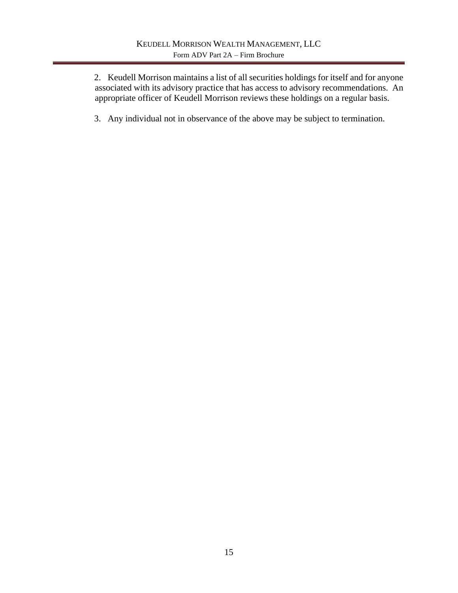2. Keudell Morrison maintains a list of all securities holdings for itself and for anyone associated with its advisory practice that has access to advisory recommendations. An appropriate officer of Keudell Morrison reviews these holdings on a regular basis.

3. Any individual not in observance of the above may be subject to termination.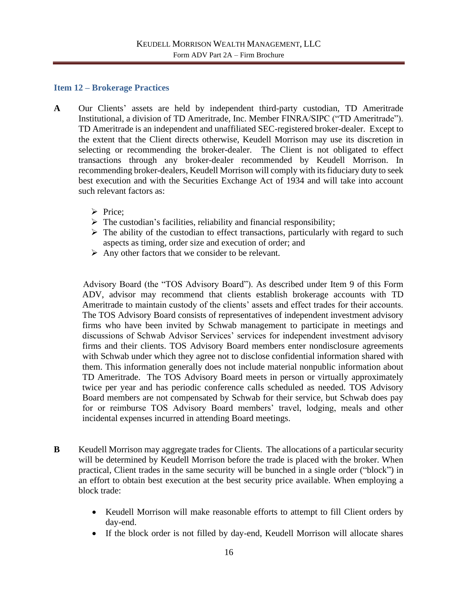### <span id="page-20-0"></span>**Item 12 – Brokerage Practices**

- **A** Our Clients' assets are held by independent third-party custodian, TD Ameritrade Institutional, a division of TD Ameritrade, Inc. Member FINRA/SIPC ("TD Ameritrade"). TD Ameritrade is an independent and unaffiliated SEC-registered broker-dealer. Except to the extent that the Client directs otherwise, Keudell Morrison may use its discretion in selecting or recommending the broker-dealer. The Client is not obligated to effect transactions through any broker-dealer recommended by Keudell Morrison. In recommending broker-dealers, Keudell Morrison will comply with its fiduciary duty to seek best execution and with the Securities Exchange Act of 1934 and will take into account such relevant factors as:
	- ➢ Price;
	- $\triangleright$  The custodian's facilities, reliability and financial responsibility;
	- $\triangleright$  The ability of the custodian to effect transactions, particularly with regard to such aspects as timing, order size and execution of order; and
	- $\triangleright$  Any other factors that we consider to be relevant.

Advisory Board (the "TOS Advisory Board"). As described under Item 9 of this Form ADV, advisor may recommend that clients establish brokerage accounts with TD Ameritrade to maintain custody of the clients' assets and effect trades for their accounts. The TOS Advisory Board consists of representatives of independent investment advisory firms who have been invited by Schwab management to participate in meetings and discussions of Schwab Advisor Services' services for independent investment advisory firms and their clients. TOS Advisory Board members enter nondisclosure agreements with Schwab under which they agree not to disclose confidential information shared with them. This information generally does not include material nonpublic information about TD Ameritrade. The TOS Advisory Board meets in person or virtually approximately twice per year and has periodic conference calls scheduled as needed. TOS Advisory Board members are not compensated by Schwab for their service, but Schwab does pay for or reimburse TOS Advisory Board members' travel, lodging, meals and other incidental expenses incurred in attending Board meetings.

- **B** Keudell Morrison may aggregate trades for Clients. The allocations of a particular security will be determined by Keudell Morrison before the trade is placed with the broker. When practical, Client trades in the same security will be bunched in a single order ("block") in an effort to obtain best execution at the best security price available. When employing a block trade:
	- Keudell Morrison will make reasonable efforts to attempt to fill Client orders by day-end.
	- If the block order is not filled by day-end, Keudell Morrison will allocate shares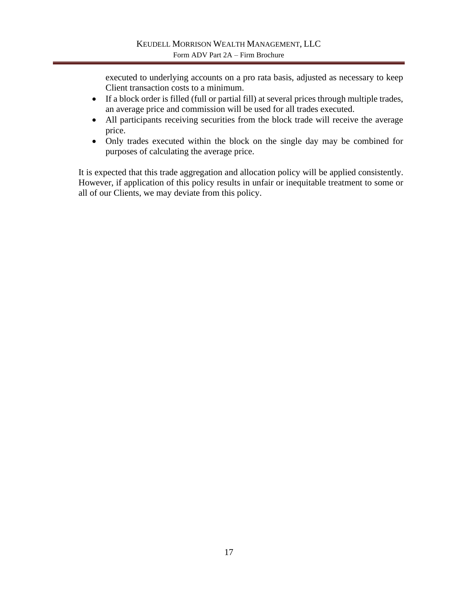executed to underlying accounts on a pro rata basis, adjusted as necessary to keep Client transaction costs to a minimum.

- If a block order is filled (full or partial fill) at several prices through multiple trades, an average price and commission will be used for all trades executed.
- All participants receiving securities from the block trade will receive the average price.
- Only trades executed within the block on the single day may be combined for purposes of calculating the average price.

It is expected that this trade aggregation and allocation policy will be applied consistently. However, if application of this policy results in unfair or inequitable treatment to some or all of our Clients, we may deviate from this policy.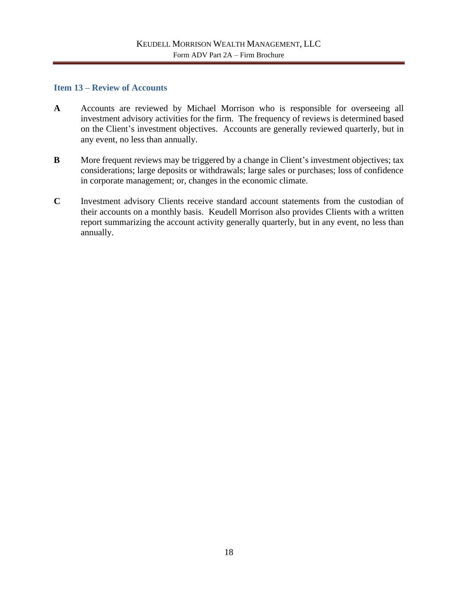#### <span id="page-22-0"></span>**Item 13 – Review of Accounts**

- **A** Accounts are reviewed by Michael Morrison who is responsible for overseeing all investment advisory activities for the firm. The frequency of reviews is determined based on the Client's investment objectives. Accounts are generally reviewed quarterly, but in any event, no less than annually.
- **B** More frequent reviews may be triggered by a change in Client's investment objectives; tax considerations; large deposits or withdrawals; large sales or purchases; loss of confidence in corporate management; or, changes in the economic climate.
- **C** Investment advisory Clients receive standard account statements from the custodian of their accounts on a monthly basis. Keudell Morrison also provides Clients with a written report summarizing the account activity generally quarterly, but in any event, no less than annually.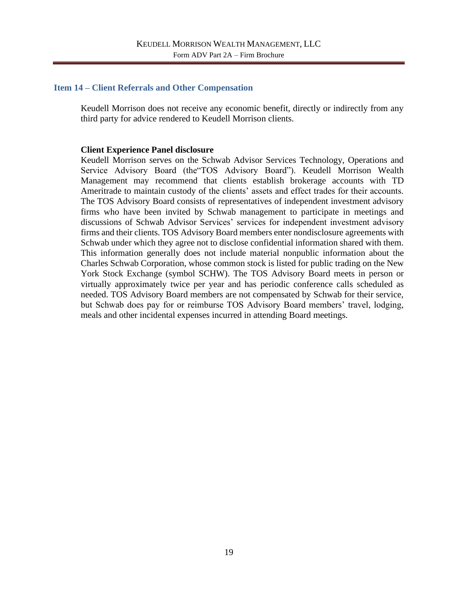#### <span id="page-23-0"></span>**Item 14 – Client Referrals and Other Compensation**

Keudell Morrison does not receive any economic benefit, directly or indirectly from any third party for advice rendered to Keudell Morrison clients.

#### **Client Experience Panel disclosure**

Keudell Morrison serves on the Schwab Advisor Services Technology, Operations and Service Advisory Board (the"TOS Advisory Board"). Keudell Morrison Wealth Management may recommend that clients establish brokerage accounts with TD Ameritrade to maintain custody of the clients' assets and effect trades for their accounts. The TOS Advisory Board consists of representatives of independent investment advisory firms who have been invited by Schwab management to participate in meetings and discussions of Schwab Advisor Services' services for independent investment advisory firms and their clients. TOS Advisory Board members enter nondisclosure agreements with Schwab under which they agree not to disclose confidential information shared with them. This information generally does not include material nonpublic information about the Charles Schwab Corporation, whose common stock is listed for public trading on the New York Stock Exchange (symbol SCHW). The TOS Advisory Board meets in person or virtually approximately twice per year and has periodic conference calls scheduled as needed. TOS Advisory Board members are not compensated by Schwab for their service, but Schwab does pay for or reimburse TOS Advisory Board members' travel, lodging, meals and other incidental expenses incurred in attending Board meetings.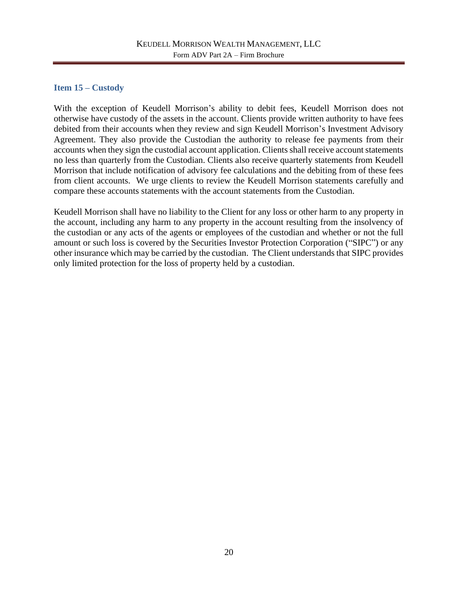# <span id="page-24-0"></span>**Item 15 – Custody**

With the exception of Keudell Morrison's ability to debit fees, Keudell Morrison does not otherwise have custody of the assets in the account. Clients provide written authority to have fees debited from their accounts when they review and sign Keudell Morrison's Investment Advisory Agreement. They also provide the Custodian the authority to release fee payments from their accounts when they sign the custodial account application. Clients shall receive account statements no less than quarterly from the Custodian. Clients also receive quarterly statements from Keudell Morrison that include notification of advisory fee calculations and the debiting from of these fees from client accounts. We urge clients to review the Keudell Morrison statements carefully and compare these accounts statements with the account statements from the Custodian.

Keudell Morrison shall have no liability to the Client for any loss or other harm to any property in the account, including any harm to any property in the account resulting from the insolvency of the custodian or any acts of the agents or employees of the custodian and whether or not the full amount or such loss is covered by the Securities Investor Protection Corporation ("SIPC") or any other insurance which may be carried by the custodian. The Client understands that SIPC provides only limited protection for the loss of property held by a custodian.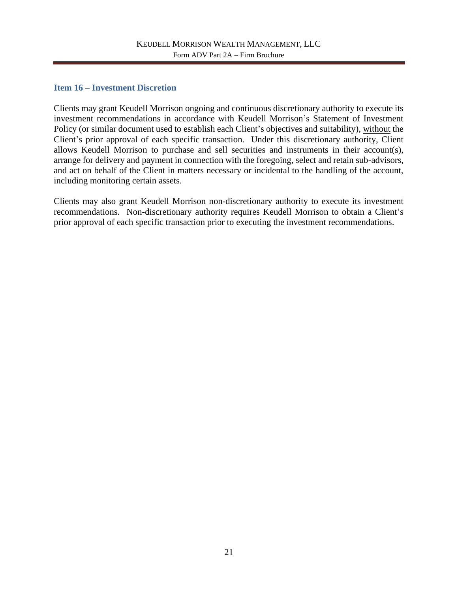## <span id="page-25-0"></span>**Item 16 – Investment Discretion**

Clients may grant Keudell Morrison ongoing and continuous discretionary authority to execute its investment recommendations in accordance with Keudell Morrison's Statement of Investment Policy (or similar document used to establish each Client's objectives and suitability), without the Client's prior approval of each specific transaction. Under this discretionary authority, Client allows Keudell Morrison to purchase and sell securities and instruments in their account(s), arrange for delivery and payment in connection with the foregoing, select and retain sub-advisors, and act on behalf of the Client in matters necessary or incidental to the handling of the account, including monitoring certain assets.

Clients may also grant Keudell Morrison non-discretionary authority to execute its investment recommendations. Non-discretionary authority requires Keudell Morrison to obtain a Client's prior approval of each specific transaction prior to executing the investment recommendations.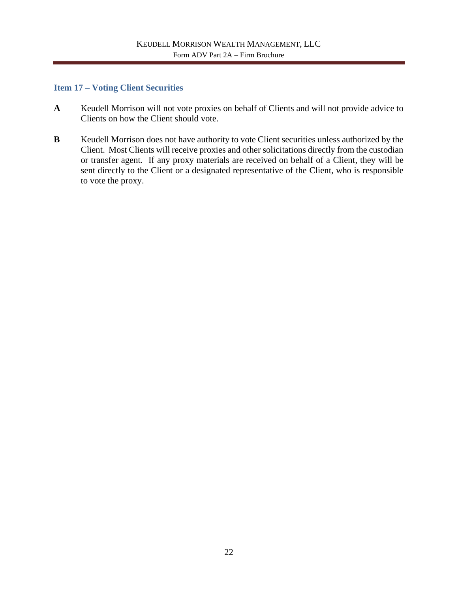### <span id="page-26-0"></span>**Item 17 – Voting Client Securities**

- **A** Keudell Morrison will not vote proxies on behalf of Clients and will not provide advice to Clients on how the Client should vote.
- **B** Keudell Morrison does not have authority to vote Client securities unless authorized by the Client. Most Clients will receive proxies and other solicitations directly from the custodian or transfer agent. If any proxy materials are received on behalf of a Client, they will be sent directly to the Client or a designated representative of the Client, who is responsible to vote the proxy.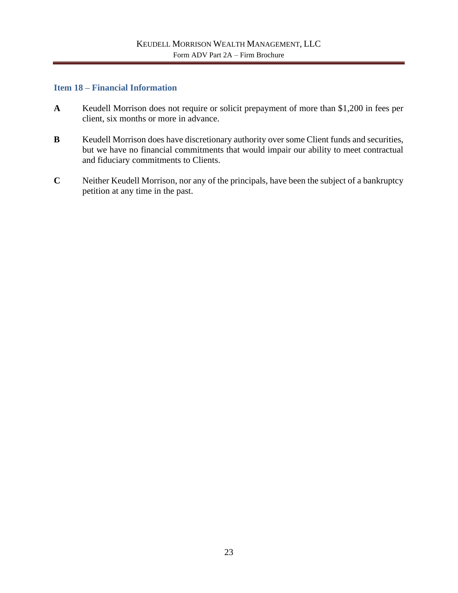### <span id="page-27-0"></span>**Item 18 – Financial Information**

- **A** Keudell Morrison does not require or solicit prepayment of more than \$1,200 in fees per client, six months or more in advance.
- **B** Keudell Morrison does have discretionary authority over some Client funds and securities, but we have no financial commitments that would impair our ability to meet contractual and fiduciary commitments to Clients.
- **C** Neither Keudell Morrison, nor any of the principals, have been the subject of a bankruptcy petition at any time in the past.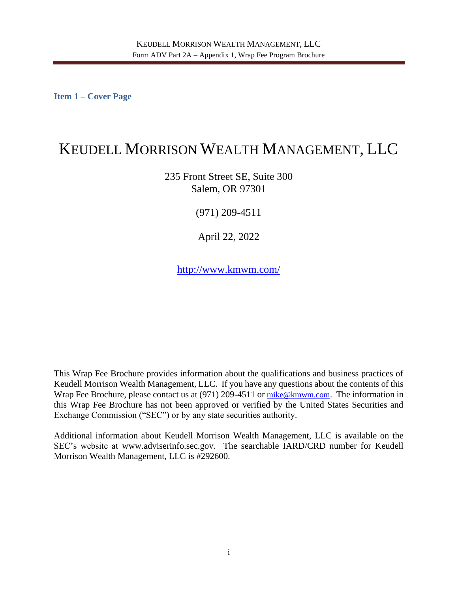<span id="page-28-0"></span>**Item 1 – Cover Page**

# KEUDELL MORRISON WEALTH MANAGEMENT, LLC

235 Front Street SE, Suite 300 Salem, OR 97301

(971) 209-4511

April 22, 2022

<http://www.kmwm.com/>

This Wrap Fee Brochure provides information about the qualifications and business practices of Keudell Morrison Wealth Management, LLC. If you have any questions about the contents of this Wrap Fee Brochure, please contact us at (971) 209-4511 or [mike@kmwm.com](mailto:mike@kmwm.com). The information in this Wrap Fee Brochure has not been approved or verified by the United States Securities and Exchange Commission ("SEC") or by any state securities authority.

Additional information about Keudell Morrison Wealth Management, LLC is available on the SEC's website at www.adviserinfo.sec.gov. The searchable IARD/CRD number for Keudell Morrison Wealth Management, LLC is #292600.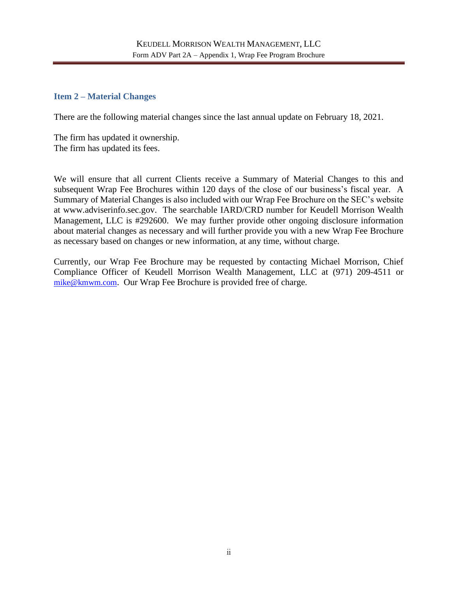## <span id="page-29-0"></span>**Item 2 – Material Changes**

There are the following material changes since the last annual update on February 18, 2021.

The firm has updated it ownership. The firm has updated its fees.

We will ensure that all current Clients receive a Summary of Material Changes to this and subsequent Wrap Fee Brochures within 120 days of the close of our business's fiscal year. A Summary of Material Changes is also included with our Wrap Fee Brochure on the SEC's website at www.adviserinfo.sec.gov. The searchable IARD/CRD number for Keudell Morrison Wealth Management, LLC is #292600. We may further provide other ongoing disclosure information about material changes as necessary and will further provide you with a new Wrap Fee Brochure as necessary based on changes or new information, at any time, without charge.

Currently, our Wrap Fee Brochure may be requested by contacting Michael Morrison, Chief Compliance Officer of Keudell Morrison Wealth Management, LLC at (971) 209-4511 or [mike@kmwm.com](mailto:mike@kmwm.com). Our Wrap Fee Brochure is provided free of charge.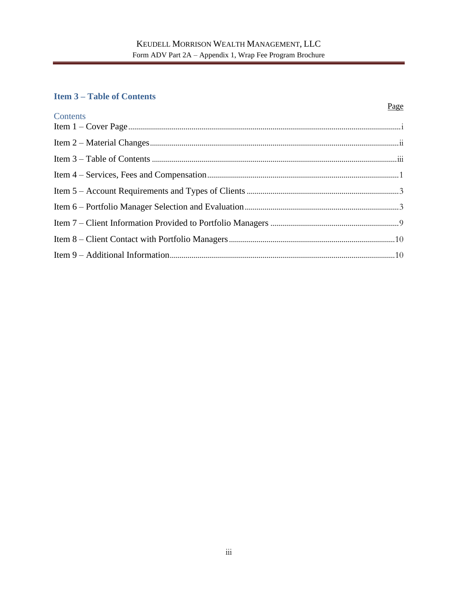## <span id="page-30-0"></span>**Item 3 – Table of Contents**

### Page

| Contents |  |
|----------|--|
|          |  |
|          |  |
|          |  |
|          |  |
|          |  |
|          |  |
|          |  |
|          |  |
|          |  |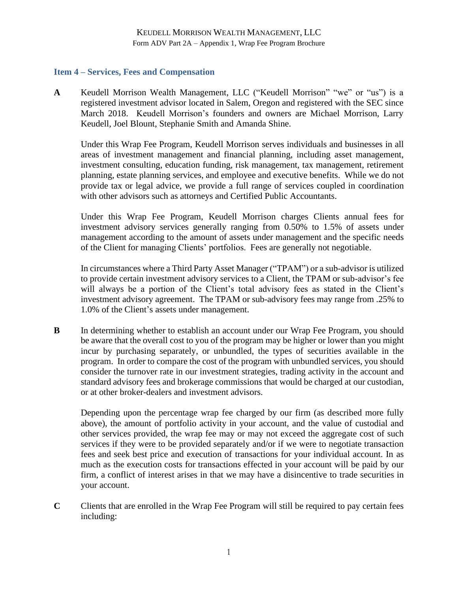## <span id="page-31-0"></span>**Item 4 – Services, Fees and Compensation**

**A** Keudell Morrison Wealth Management, LLC ("Keudell Morrison" "we" or "us") is a registered investment advisor located in Salem, Oregon and registered with the SEC since March 2018. Keudell Morrison's founders and owners are Michael Morrison, Larry Keudell, Joel Blount, Stephanie Smith and Amanda Shine.

Under this Wrap Fee Program, Keudell Morrison serves individuals and businesses in all areas of investment management and financial planning, including asset management, investment consulting, education funding, risk management, tax management, retirement planning, estate planning services, and employee and executive benefits. While we do not provide tax or legal advice, we provide a full range of services coupled in coordination with other advisors such as attorneys and Certified Public Accountants.

Under this Wrap Fee Program, Keudell Morrison charges Clients annual fees for investment advisory services generally ranging from 0.50% to 1.5% of assets under management according to the amount of assets under management and the specific needs of the Client for managing Clients' portfolios. Fees are generally not negotiable.

In circumstances where a Third Party Asset Manager ("TPAM") or a sub-advisor is utilized to provide certain investment advisory services to a Client, the TPAM or sub-advisor's fee will always be a portion of the Client's total advisory fees as stated in the Client's investment advisory agreement. The TPAM or sub-advisory fees may range from .25% to 1.0% of the Client's assets under management.

**B** In determining whether to establish an account under our Wrap Fee Program, you should be aware that the overall cost to you of the program may be higher or lower than you might incur by purchasing separately, or unbundled, the types of securities available in the program. In order to compare the cost of the program with unbundled services, you should consider the turnover rate in our investment strategies, trading activity in the account and standard advisory fees and brokerage commissions that would be charged at our custodian, or at other broker-dealers and investment advisors.

Depending upon the percentage wrap fee charged by our firm (as described more fully above), the amount of portfolio activity in your account, and the value of custodial and other services provided, the wrap fee may or may not exceed the aggregate cost of such services if they were to be provided separately and/or if we were to negotiate transaction fees and seek best price and execution of transactions for your individual account. In as much as the execution costs for transactions effected in your account will be paid by our firm, a conflict of interest arises in that we may have a disincentive to trade securities in your account.

**C** Clients that are enrolled in the Wrap Fee Program will still be required to pay certain fees including: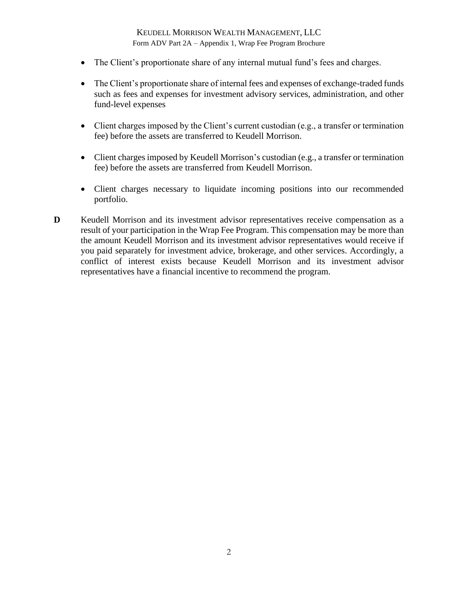- The Client's proportionate share of any internal mutual fund's fees and charges.
- The Client's proportionate share of internal fees and expenses of exchange-traded funds such as fees and expenses for investment advisory services, administration, and other fund-level expenses
- Client charges imposed by the Client's current custodian (e.g., a transfer or termination fee) before the assets are transferred to Keudell Morrison.
- Client charges imposed by Keudell Morrison's custodian (e.g., a transfer or termination fee) before the assets are transferred from Keudell Morrison.
- Client charges necessary to liquidate incoming positions into our recommended portfolio.
- **D** Keudell Morrison and its investment advisor representatives receive compensation as a result of your participation in the Wrap Fee Program. This compensation may be more than the amount Keudell Morrison and its investment advisor representatives would receive if you paid separately for investment advice, brokerage, and other services. Accordingly, a conflict of interest exists because Keudell Morrison and its investment advisor representatives have a financial incentive to recommend the program.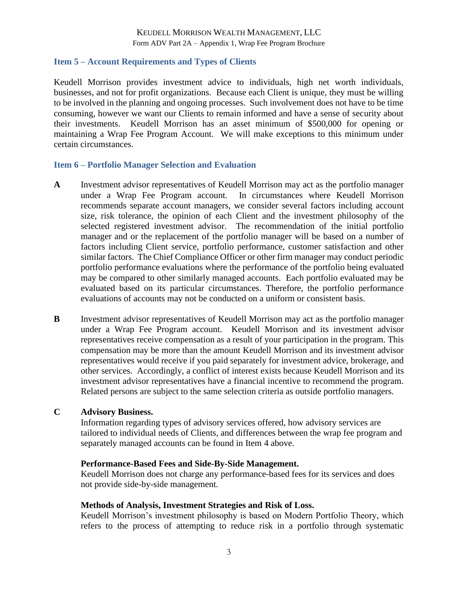#### <span id="page-33-0"></span>**Item 5 – Account Requirements and Types of Clients**

Keudell Morrison provides investment advice to individuals, high net worth individuals, businesses, and not for profit organizations. Because each Client is unique, they must be willing to be involved in the planning and ongoing processes. Such involvement does not have to be time consuming, however we want our Clients to remain informed and have a sense of security about their investments. Keudell Morrison has an asset minimum of \$500,000 for opening or maintaining a Wrap Fee Program Account. We will make exceptions to this minimum under certain circumstances.

#### <span id="page-33-1"></span>**Item 6 – Portfolio Manager Selection and Evaluation**

- **A** Investment advisor representatives of Keudell Morrison may act as the portfolio manager under a Wrap Fee Program account. In circumstances where Keudell Morrison recommends separate account managers, we consider several factors including account size, risk tolerance, the opinion of each Client and the investment philosophy of the selected registered investment advisor. The recommendation of the initial portfolio manager and or the replacement of the portfolio manager will be based on a number of factors including Client service, portfolio performance, customer satisfaction and other similar factors. The Chief Compliance Officer or other firm manager may conduct periodic portfolio performance evaluations where the performance of the portfolio being evaluated may be compared to other similarly managed accounts. Each portfolio evaluated may be evaluated based on its particular circumstances. Therefore, the portfolio performance evaluations of accounts may not be conducted on a uniform or consistent basis.
- **B** Investment advisor representatives of Keudell Morrison may act as the portfolio manager under a Wrap Fee Program account. Keudell Morrison and its investment advisor representatives receive compensation as a result of your participation in the program. This compensation may be more than the amount Keudell Morrison and its investment advisor representatives would receive if you paid separately for investment advice, brokerage, and other services. Accordingly, a conflict of interest exists because Keudell Morrison and its investment advisor representatives have a financial incentive to recommend the program. Related persons are subject to the same selection criteria as outside portfolio managers.

### **C Advisory Business.**

Information regarding types of advisory services offered, how advisory services are tailored to individual needs of Clients, and differences between the wrap fee program and separately managed accounts can be found in Item 4 above.

#### **Performance-Based Fees and Side-By-Side Management.**

Keudell Morrison does not charge any performance-based fees for its services and does not provide side-by-side management.

#### **Methods of Analysis, Investment Strategies and Risk of Loss.**

Keudell Morrison's investment philosophy is based on Modern Portfolio Theory, which refers to the process of attempting to reduce risk in a portfolio through systematic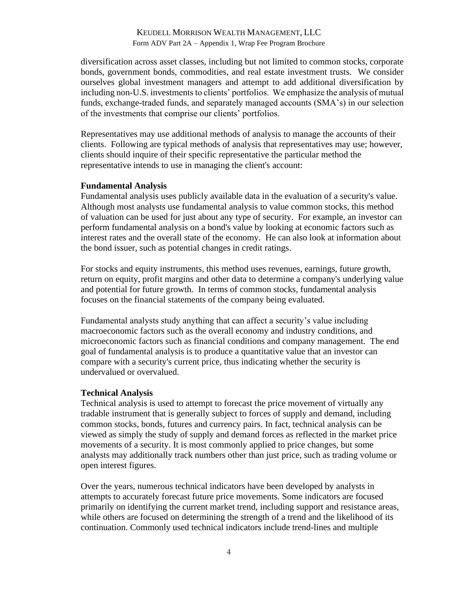diversification across asset classes, including but not limited to common stocks, corporate bonds, government bonds, commodities, and real estate investment trusts. We consider ourselves global investment managers and attempt to add additional diversification by including non-U.S. investments to clients' portfolios. We emphasize the analysis of mutual funds, exchange-traded funds, and separately managed accounts (SMA's) in our selection of the investments that comprise our clients' portfolios.

Representatives may use additional methods of analysis to manage the accounts of their clients. Following are typical methods of analysis that representatives may use; however, clients should inquire of their specific representative the particular method the representative intends to use in managing the client's account:

#### **Fundamental Analysis**

Fundamental analysis uses publicly available data in the evaluation of a security's value. Although most analysts use fundamental analysis to value common stocks, this method of valuation can be used for just about any type of security. For example, an investor can perform fundamental analysis on a bond's value by looking at economic factors such as interest rates and the overall state of the economy. He can also look at information about the bond issuer, such as potential changes in credit ratings.

For stocks and equity instruments, this method uses revenues, earnings, future growth, return on equity, profit margins and other data to determine a company's underlying value and potential for future growth. In terms of common stocks, fundamental analysis focuses on the financial statements of the company being evaluated.

Fundamental analysts study anything that can affect a security's value including macroeconomic factors such as the overall economy and industry conditions, and microeconomic factors such as financial conditions and company management. The end goal of fundamental analysis is to produce a quantitative value that an investor can compare with a security's current price, thus indicating whether the security is undervalued or overvalued.

#### **Technical Analysis**

Technical analysis is used to attempt to forecast the price movement of virtually any tradable instrument that is generally subject to forces of supply and demand, including common stocks, bonds, futures and currency pairs. In fact, technical analysis can be viewed as simply the study of supply and demand forces as reflected in the market price movements of a security. It is most commonly applied to price changes, but some analysts may additionally track numbers other than just price, such as trading volume or open interest figures.

Over the years, numerous technical indicators have been developed by analysts in attempts to accurately forecast future price movements. Some indicators are focused primarily on identifying the current market trend, including support and resistance areas, while others are focused on determining the strength of a trend and the likelihood of its continuation. Commonly used technical indicators include trend-lines and multiple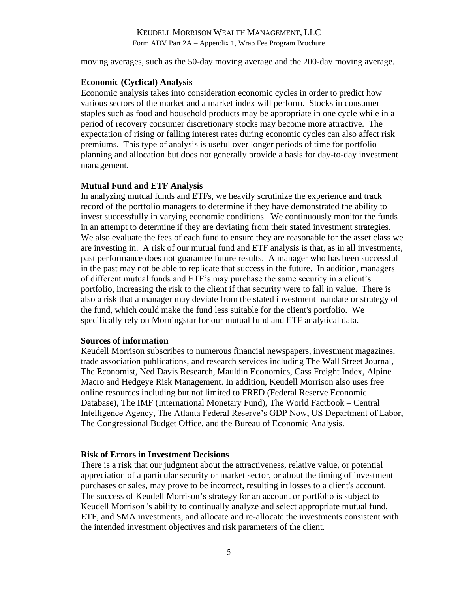moving averages, such as the 50-day moving average and the 200-day moving average.

#### **Economic (Cyclical) Analysis**

Economic analysis takes into consideration economic cycles in order to predict how various sectors of the market and a market index will perform. Stocks in consumer staples such as food and household products may be appropriate in one cycle while in a period of recovery consumer discretionary stocks may become more attractive. The expectation of rising or falling interest rates during economic cycles can also affect risk premiums. This type of analysis is useful over longer periods of time for portfolio planning and allocation but does not generally provide a basis for day-to-day investment management.

#### **Mutual Fund and ETF Analysis**

In analyzing mutual funds and ETFs, we heavily scrutinize the experience and track record of the portfolio managers to determine if they have demonstrated the ability to invest successfully in varying economic conditions. We continuously monitor the funds in an attempt to determine if they are deviating from their stated investment strategies. We also evaluate the fees of each fund to ensure they are reasonable for the asset class we are investing in. A risk of our mutual fund and ETF analysis is that, as in all investments, past performance does not guarantee future results. A manager who has been successful in the past may not be able to replicate that success in the future. In addition, managers of different mutual funds and ETF's may purchase the same security in a client's portfolio, increasing the risk to the client if that security were to fall in value. There is also a risk that a manager may deviate from the stated investment mandate or strategy of the fund, which could make the fund less suitable for the client's portfolio. We specifically rely on Morningstar for our mutual fund and ETF analytical data.

#### **Sources of information**

Keudell Morrison subscribes to numerous financial newspapers, investment magazines, trade association publications, and research services including The Wall Street Journal, The Economist, Ned Davis Research, Mauldin Economics, Cass Freight Index, Alpine Macro and Hedgeye Risk Management. In addition, Keudell Morrison also uses free online resources including but not limited to FRED (Federal Reserve Economic Database), The IMF (International Monetary Fund), The World Factbook – Central Intelligence Agency, The Atlanta Federal Reserve's GDP Now, US Department of Labor, The Congressional Budget Office, and the Bureau of Economic Analysis.

#### **Risk of Errors in Investment Decisions**

There is a risk that our judgment about the attractiveness, relative value, or potential appreciation of a particular security or market sector, or about the timing of investment purchases or sales, may prove to be incorrect, resulting in losses to a client's account. The success of Keudell Morrison's strategy for an account or portfolio is subject to Keudell Morrison 's ability to continually analyze and select appropriate mutual fund, ETF, and SMA investments, and allocate and re-allocate the investments consistent with the intended investment objectives and risk parameters of the client.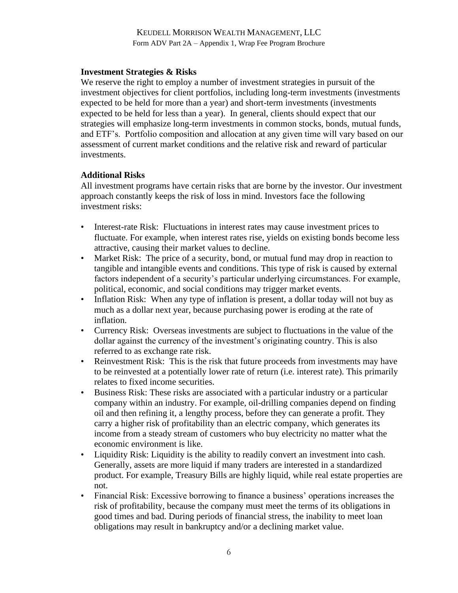#### **Investment Strategies & Risks**

We reserve the right to employ a number of investment strategies in pursuit of the investment objectives for client portfolios, including long-term investments (investments expected to be held for more than a year) and short-term investments (investments expected to be held for less than a year). In general, clients should expect that our strategies will emphasize long-term investments in common stocks, bonds, mutual funds, and ETF's. Portfolio composition and allocation at any given time will vary based on our assessment of current market conditions and the relative risk and reward of particular investments.

#### **Additional Risks**

All investment programs have certain risks that are borne by the investor. Our investment approach constantly keeps the risk of loss in mind. Investors face the following investment risks:

- Interest-rate Risk: Fluctuations in interest rates may cause investment prices to fluctuate. For example, when interest rates rise, yields on existing bonds become less attractive, causing their market values to decline.
- Market Risk: The price of a security, bond, or mutual fund may drop in reaction to tangible and intangible events and conditions. This type of risk is caused by external factors independent of a security's particular underlying circumstances. For example, political, economic, and social conditions may trigger market events.
- Inflation Risk: When any type of inflation is present, a dollar today will not buy as much as a dollar next year, because purchasing power is eroding at the rate of inflation.
- Currency Risk: Overseas investments are subject to fluctuations in the value of the dollar against the currency of the investment's originating country. This is also referred to as exchange rate risk.
- Reinvestment Risk: This is the risk that future proceeds from investments may have to be reinvested at a potentially lower rate of return (i.e. interest rate). This primarily relates to fixed income securities.
- Business Risk: These risks are associated with a particular industry or a particular company within an industry. For example, oil-drilling companies depend on finding oil and then refining it, a lengthy process, before they can generate a profit. They carry a higher risk of profitability than an electric company, which generates its income from a steady stream of customers who buy electricity no matter what the economic environment is like.
- Liquidity Risk: Liquidity is the ability to readily convert an investment into cash. Generally, assets are more liquid if many traders are interested in a standardized product. For example, Treasury Bills are highly liquid, while real estate properties are not.
- Financial Risk: Excessive borrowing to finance a business' operations increases the risk of profitability, because the company must meet the terms of its obligations in good times and bad. During periods of financial stress, the inability to meet loan obligations may result in bankruptcy and/or a declining market value.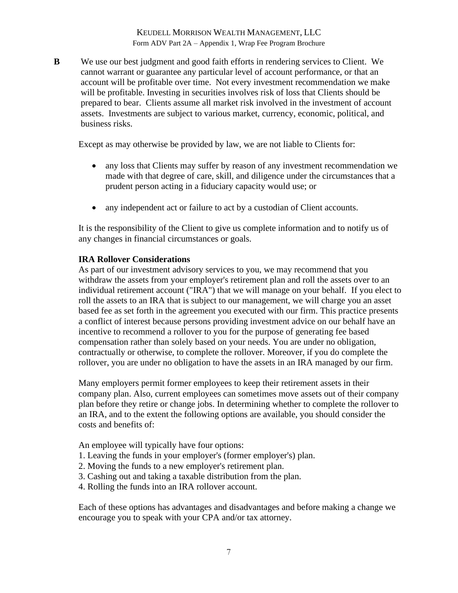**B** We use our best judgment and good faith efforts in rendering services to Client. We cannot warrant or guarantee any particular level of account performance, or that an account will be profitable over time. Not every investment recommendation we make will be profitable. Investing in securities involves risk of loss that Clients should be prepared to bear. Clients assume all market risk involved in the investment of account assets. Investments are subject to various market, currency, economic, political, and business risks.

Except as may otherwise be provided by law, we are not liable to Clients for:

- any loss that Clients may suffer by reason of any investment recommendation we made with that degree of care, skill, and diligence under the circumstances that a prudent person acting in a fiduciary capacity would use; or
- any independent act or failure to act by a custodian of Client accounts.

It is the responsibility of the Client to give us complete information and to notify us of any changes in financial circumstances or goals.

#### **IRA Rollover Considerations**

As part of our investment advisory services to you, we may recommend that you withdraw the assets from your employer's retirement plan and roll the assets over to an individual retirement account ("IRA") that we will manage on your behalf. If you elect to roll the assets to an IRA that is subject to our management, we will charge you an asset based fee as set forth in the agreement you executed with our firm. This practice presents a conflict of interest because persons providing investment advice on our behalf have an incentive to recommend a rollover to you for the purpose of generating fee based compensation rather than solely based on your needs. You are under no obligation, contractually or otherwise, to complete the rollover. Moreover, if you do complete the rollover, you are under no obligation to have the assets in an IRA managed by our firm.

Many employers permit former employees to keep their retirement assets in their company plan. Also, current employees can sometimes move assets out of their company plan before they retire or change jobs. In determining whether to complete the rollover to an IRA, and to the extent the following options are available, you should consider the costs and benefits of:

An employee will typically have four options:

- 1. Leaving the funds in your employer's (former employer's) plan.
- 2. Moving the funds to a new employer's retirement plan.
- 3. Cashing out and taking a taxable distribution from the plan.
- 4. Rolling the funds into an IRA rollover account.

Each of these options has advantages and disadvantages and before making a change we encourage you to speak with your CPA and/or tax attorney.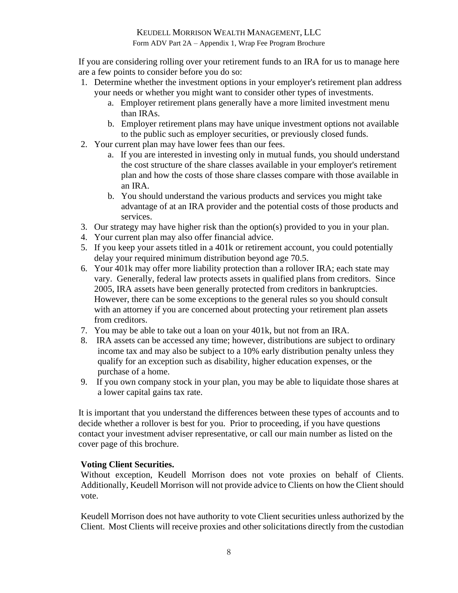Form ADV Part 2A – Appendix 1, Wrap Fee Program Brochure

If you are considering rolling over your retirement funds to an IRA for us to manage here are a few points to consider before you do so:

- 1. Determine whether the investment options in your employer's retirement plan address your needs or whether you might want to consider other types of investments.
	- a. Employer retirement plans generally have a more limited investment menu than IRAs.
	- b. Employer retirement plans may have unique investment options not available to the public such as employer securities, or previously closed funds.
- 2. Your current plan may have lower fees than our fees.
	- a. If you are interested in investing only in mutual funds, you should understand the cost structure of the share classes available in your employer's retirement plan and how the costs of those share classes compare with those available in an IRA.
	- b. You should understand the various products and services you might take advantage of at an IRA provider and the potential costs of those products and services.
- 3. Our strategy may have higher risk than the option(s) provided to you in your plan.
- 4. Your current plan may also offer financial advice.
- 5. If you keep your assets titled in a 401k or retirement account, you could potentially delay your required minimum distribution beyond age 70.5.
- 6. Your 401k may offer more liability protection than a rollover IRA; each state may vary. Generally, federal law protects assets in qualified plans from creditors. Since 2005, IRA assets have been generally protected from creditors in bankruptcies. However, there can be some exceptions to the general rules so you should consult with an attorney if you are concerned about protecting your retirement plan assets from creditors.
- 7. You may be able to take out a loan on your 401k, but not from an IRA.
- 8. IRA assets can be accessed any time; however, distributions are subject to ordinary income tax and may also be subject to a 10% early distribution penalty unless they qualify for an exception such as disability, higher education expenses, or the purchase of a home.
- 9. If you own company stock in your plan, you may be able to liquidate those shares at a lower capital gains tax rate.

It is important that you understand the differences between these types of accounts and to decide whether a rollover is best for you. Prior to proceeding, if you have questions contact your investment adviser representative, or call our main number as listed on the cover page of this brochure.

## **Voting Client Securities.**

Without exception, Keudell Morrison does not vote proxies on behalf of Clients. Additionally, Keudell Morrison will not provide advice to Clients on how the Client should vote.

Keudell Morrison does not have authority to vote Client securities unless authorized by the Client. Most Clients will receive proxies and other solicitations directly from the custodian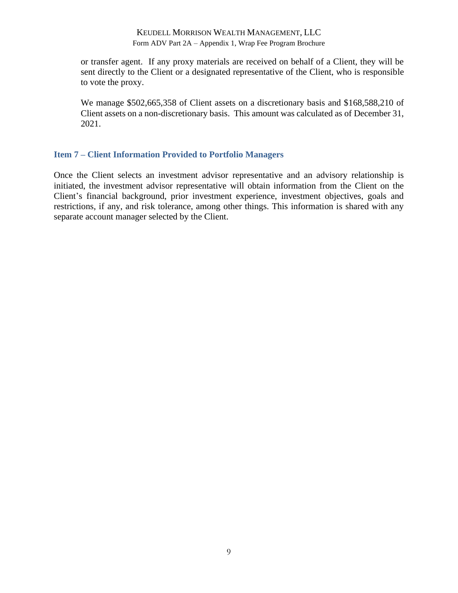or transfer agent. If any proxy materials are received on behalf of a Client, they will be sent directly to the Client or a designated representative of the Client, who is responsible to vote the proxy.

We manage \$502,665,358 of Client assets on a discretionary basis and \$168,588,210 of Client assets on a non-discretionary basis. This amount was calculated as of December 31, 2021.

### <span id="page-39-0"></span>**Item 7 – Client Information Provided to Portfolio Managers**

Once the Client selects an investment advisor representative and an advisory relationship is initiated, the investment advisor representative will obtain information from the Client on the Client's financial background, prior investment experience, investment objectives, goals and restrictions, if any, and risk tolerance, among other things. This information is shared with any separate account manager selected by the Client.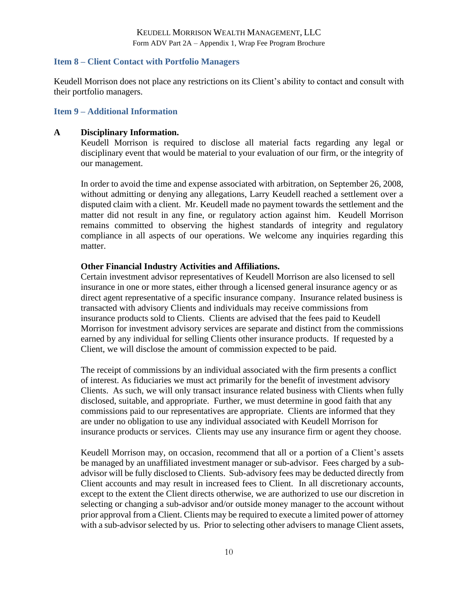### <span id="page-40-0"></span>**Item 8 – Client Contact with Portfolio Managers**

Keudell Morrison does not place any restrictions on its Client's ability to contact and consult with their portfolio managers.

### <span id="page-40-1"></span>**Item 9 – Additional Information**

#### **A Disciplinary Information.**

Keudell Morrison is required to disclose all material facts regarding any legal or disciplinary event that would be material to your evaluation of our firm, or the integrity of our management.

In order to avoid the time and expense associated with arbitration, on September 26, 2008, without admitting or denying any allegations, Larry Keudell reached a settlement over a disputed claim with a client. Mr. Keudell made no payment towards the settlement and the matter did not result in any fine, or regulatory action against him. Keudell Morrison remains committed to observing the highest standards of integrity and regulatory compliance in all aspects of our operations. We welcome any inquiries regarding this matter.

### **Other Financial Industry Activities and Affiliations.**

Certain investment advisor representatives of Keudell Morrison are also licensed to sell insurance in one or more states, either through a licensed general insurance agency or as direct agent representative of a specific insurance company. Insurance related business is transacted with advisory Clients and individuals may receive commissions from insurance products sold to Clients. Clients are advised that the fees paid to Keudell Morrison for investment advisory services are separate and distinct from the commissions earned by any individual for selling Clients other insurance products. If requested by a Client, we will disclose the amount of commission expected to be paid.

The receipt of commissions by an individual associated with the firm presents a conflict of interest. As fiduciaries we must act primarily for the benefit of investment advisory Clients. As such, we will only transact insurance related business with Clients when fully disclosed, suitable, and appropriate. Further, we must determine in good faith that any commissions paid to our representatives are appropriate. Clients are informed that they are under no obligation to use any individual associated with Keudell Morrison for insurance products or services. Clients may use any insurance firm or agent they choose.

Keudell Morrison may, on occasion, recommend that all or a portion of a Client's assets be managed by an unaffiliated investment manager or sub-advisor. Fees charged by a subadvisor will be fully disclosed to Clients. Sub-advisory fees may be deducted directly from Client accounts and may result in increased fees to Client. In all discretionary accounts, except to the extent the Client directs otherwise, we are authorized to use our discretion in selecting or changing a sub-advisor and/or outside money manager to the account without prior approval from a Client. Clients may be required to execute a limited power of attorney with a sub-advisor selected by us. Prior to selecting other advisers to manage Client assets,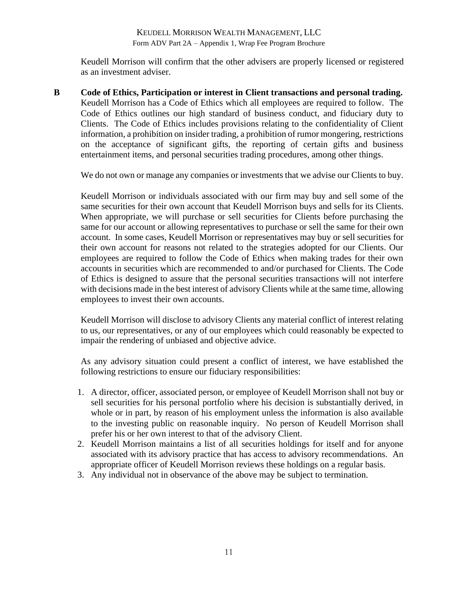Keudell Morrison will confirm that the other advisers are properly licensed or registered as an investment adviser.

**B Code of Ethics, Participation or interest in Client transactions and personal trading.** Keudell Morrison has a Code of Ethics which all employees are required to follow. The Code of Ethics outlines our high standard of business conduct, and fiduciary duty to Clients. The Code of Ethics includes provisions relating to the confidentiality of Client information, a prohibition on insider trading, a prohibition of rumor mongering, restrictions on the acceptance of significant gifts, the reporting of certain gifts and business entertainment items, and personal securities trading procedures, among other things.

We do not own or manage any companies or investments that we advise our Clients to buy.

Keudell Morrison or individuals associated with our firm may buy and sell some of the same securities for their own account that Keudell Morrison buys and sells for its Clients. When appropriate, we will purchase or sell securities for Clients before purchasing the same for our account or allowing representatives to purchase or sell the same for their own account. In some cases, Keudell Morrison or representatives may buy or sell securities for their own account for reasons not related to the strategies adopted for our Clients. Our employees are required to follow the Code of Ethics when making trades for their own accounts in securities which are recommended to and/or purchased for Clients. The Code of Ethics is designed to assure that the personal securities transactions will not interfere with decisions made in the best interest of advisory Clients while at the same time, allowing employees to invest their own accounts.

Keudell Morrison will disclose to advisory Clients any material conflict of interest relating to us, our representatives, or any of our employees which could reasonably be expected to impair the rendering of unbiased and objective advice.

As any advisory situation could present a conflict of interest, we have established the following restrictions to ensure our fiduciary responsibilities:

- 1. A director, officer, associated person, or employee of Keudell Morrison shall not buy or sell securities for his personal portfolio where his decision is substantially derived, in whole or in part, by reason of his employment unless the information is also available to the investing public on reasonable inquiry. No person of Keudell Morrison shall prefer his or her own interest to that of the advisory Client.
- 2. Keudell Morrison maintains a list of all securities holdings for itself and for anyone associated with its advisory practice that has access to advisory recommendations. An appropriate officer of Keudell Morrison reviews these holdings on a regular basis.
- 3. Any individual not in observance of the above may be subject to termination.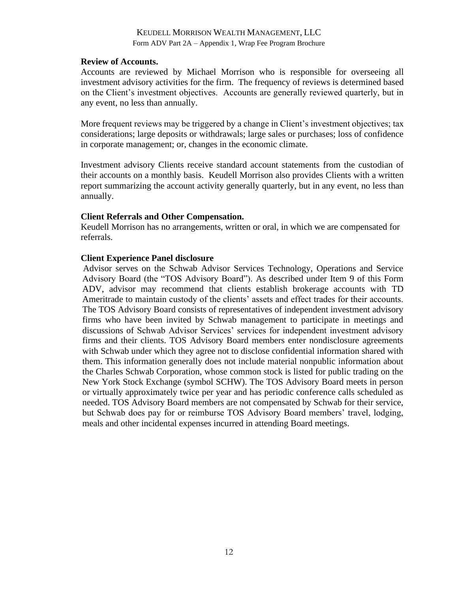#### **Review of Accounts.**

Accounts are reviewed by Michael Morrison who is responsible for overseeing all investment advisory activities for the firm. The frequency of reviews is determined based on the Client's investment objectives. Accounts are generally reviewed quarterly, but in any event, no less than annually.

More frequent reviews may be triggered by a change in Client's investment objectives; tax considerations; large deposits or withdrawals; large sales or purchases; loss of confidence in corporate management; or, changes in the economic climate.

Investment advisory Clients receive standard account statements from the custodian of their accounts on a monthly basis. Keudell Morrison also provides Clients with a written report summarizing the account activity generally quarterly, but in any event, no less than annually.

#### **Client Referrals and Other Compensation.**

Keudell Morrison has no arrangements, written or oral, in which we are compensated for referrals.

#### **Client Experience Panel disclosure**

Advisor serves on the Schwab Advisor Services Technology, Operations and Service Advisory Board (the "TOS Advisory Board"). As described under Item 9 of this Form ADV, advisor may recommend that clients establish brokerage accounts with TD Ameritrade to maintain custody of the clients' assets and effect trades for their accounts. The TOS Advisory Board consists of representatives of independent investment advisory firms who have been invited by Schwab management to participate in meetings and discussions of Schwab Advisor Services' services for independent investment advisory firms and their clients. TOS Advisory Board members enter nondisclosure agreements with Schwab under which they agree not to disclose confidential information shared with them. This information generally does not include material nonpublic information about the Charles Schwab Corporation, whose common stock is listed for public trading on the New York Stock Exchange (symbol SCHW). The TOS Advisory Board meets in person or virtually approximately twice per year and has periodic conference calls scheduled as needed. TOS Advisory Board members are not compensated by Schwab for their service, but Schwab does pay for or reimburse TOS Advisory Board members' travel, lodging, meals and other incidental expenses incurred in attending Board meetings.